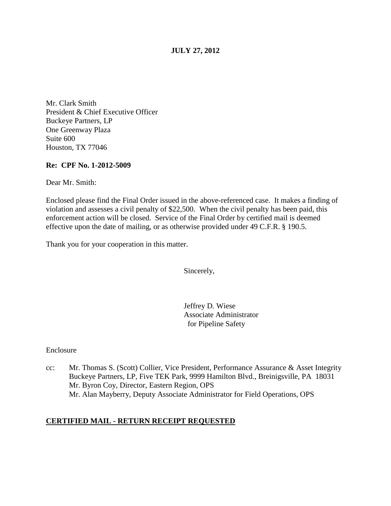## **JULY 27, 2012**

Mr. Clark Smith President & Chief Executive Officer Buckeye Partners, LP One Greenway Plaza Suite 600 Houston, TX 77046

#### **Re: CPF No. 1-2012-5009**

Dear Mr. Smith:

Enclosed please find the Final Order issued in the above-referenced case. It makes a finding of violation and assesses a civil penalty of \$22,500. When the civil penalty has been paid, this enforcement action will be closed. Service of the Final Order by certified mail is deemed effective upon the date of mailing, or as otherwise provided under 49 C.F.R. § 190.5.

Thank you for your cooperation in this matter.

Sincerely,

Jeffrey D. Wiese Associate Administrator for Pipeline Safety

Enclosure

cc: Mr. Thomas S. (Scott) Collier, Vice President, Performance Assurance & Asset Integrity Buckeye Partners, LP, Five TEK Park, 9999 Hamilton Blvd., Breinigsville, PA 18031 Mr. Byron Coy, Director, Eastern Region, OPS Mr. Alan Mayberry, Deputy Associate Administrator for Field Operations, OPS

### **CERTIFIED MAIL - RETURN RECEIPT REQUESTED**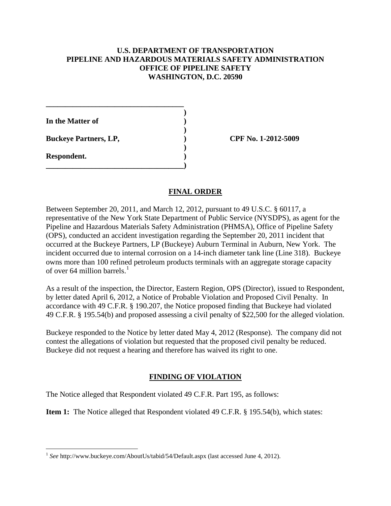### **U.S. DEPARTMENT OF TRANSPORTATION PIPELINE AND HAZARDOUS MATERIALS SAFETY ADMINISTRATION OFFICE OF PIPELINE SAFETY WASHINGTON, D.C. 20590**

**)**

**)**

**)**

**In the Matter of )**

**\_\_\_\_\_\_\_\_\_\_\_\_\_\_\_\_\_\_\_\_\_\_\_\_\_\_\_\_\_\_\_\_\_\_\_\_**

**\_\_\_\_\_\_\_\_\_\_\_\_\_\_\_\_\_\_\_\_\_\_\_\_\_\_\_\_\_\_\_\_\_\_\_\_)**

**Buckeye Partners, LP, ) CPF No. 1-2012-5009**

**Respondent. )**

# **FINAL ORDER**

Between September 20, 2011, and March 12, 2012, pursuant to 49 U.S.C. § 60117, a representative of the New York State Department of Public Service (NYSDPS), as agent for the Pipeline and Hazardous Materials Safety Administration (PHMSA), Office of Pipeline Safety (OPS), conducted an accident investigation regarding the September 20, 2011 incident that occurred at the Buckeye Partners, LP (Buckeye) Auburn Terminal in Auburn, New York. The incident occurred due to internal corrosion on a 14-inch diameter tank line (Line 318). Buckeye owns more than 100 refined petroleum products terminals with an aggregate storage capacity of over 64 million barrels.<sup>[1](#page-1-0)</sup>

As a result of the inspection, the Director, Eastern Region, OPS (Director), issued to Respondent, by letter dated April 6, 2012, a Notice of Probable Violation and Proposed Civil Penalty. In accordance with 49 C.F.R. § 190.207, the Notice proposed finding that Buckeye had violated 49 C.F.R. § 195.54(b) and proposed assessing a civil penalty of \$22,500 for the alleged violation.

Buckeye responded to the Notice by letter dated May 4, 2012 (Response). The company did not contest the allegations of violation but requested that the proposed civil penalty be reduced. Buckeye did not request a hearing and therefore has waived its right to one.

# **FINDING OF VIOLATION**

The Notice alleged that Respondent violated 49 C.F.R. Part 195, as follows:

**Item 1:** The Notice alleged that Respondent violated 49 C.F.R. § 195.54(b), which states:

<span id="page-1-0"></span> <sup>1</sup> *See* http://www.buckeye.com/AboutUs/tabid/54/Default.aspx (last accessed June 4, 2012).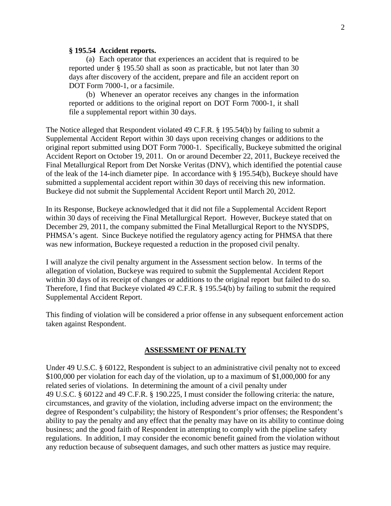#### **§ 195.54 Accident reports.**

(a) Each operator that experiences an accident that is required to be reported under § 195.50 shall as soon as practicable, but not later than 30 days after discovery of the accident, prepare and file an accident report on DOT Form 7000-1, or a facsimile.

(b) Whenever an operator receives any changes in the information reported or additions to the original report on DOT Form 7000-1, it shall file a supplemental report within 30 days.

The Notice alleged that Respondent violated 49 C.F.R. § 195.54(b) by failing to submit a Supplemental Accident Report within 30 days upon receiving changes or additions to the original report submitted using DOT Form 7000-1. Specifically, Buckeye submitted the original Accident Report on October 19, 2011. On or around December 22, 2011, Buckeye received the Final Metallurgical Report from Det Norske Veritas (DNV), which identified the potential cause of the leak of the 14-inch diameter pipe. In accordance with § 195.54(b), Buckeye should have submitted a supplemental accident report within 30 days of receiving this new information. Buckeye did not submit the Supplemental Accident Report until March 20, 2012.

In its Response, Buckeye acknowledged that it did not file a Supplemental Accident Report within 30 days of receiving the Final Metallurgical Report. However, Buckeye stated that on December 29, 2011, the company submitted the Final Metallurgical Report to the NYSDPS, PHMSA's agent. Since Buckeye notified the regulatory agency acting for PHMSA that there was new information, Buckeye requested a reduction in the proposed civil penalty.

I will analyze the civil penalty argument in the Assessment section below. In terms of the allegation of violation, Buckeye was required to submit the Supplemental Accident Report within 30 days of its receipt of changes or additions to the original report but failed to do so. Therefore, I find that Buckeye violated 49 C.F.R. § 195.54(b) by failing to submit the required Supplemental Accident Report.

This finding of violation will be considered a prior offense in any subsequent enforcement action taken against Respondent.

#### **ASSESSMENT OF PENALTY**

Under 49 U.S.C. § 60122, Respondent is subject to an administrative civil penalty not to exceed \$100,000 per violation for each day of the violation, up to a maximum of \$1,000,000 for any related series of violations. In determining the amount of a civil penalty under 49 U.S.C. § 60122 and 49 C.F.R. § 190.225, I must consider the following criteria: the nature, circumstances, and gravity of the violation, including adverse impact on the environment; the degree of Respondent's culpability; the history of Respondent's prior offenses; the Respondent's ability to pay the penalty and any effect that the penalty may have on its ability to continue doing business; and the good faith of Respondent in attempting to comply with the pipeline safety regulations. In addition, I may consider the economic benefit gained from the violation without any reduction because of subsequent damages, and such other matters as justice may require.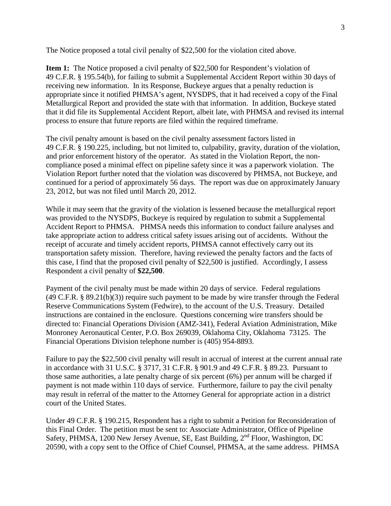The Notice proposed a total civil penalty of \$22,500 for the violation cited above.

**Item 1:** The Notice proposed a civil penalty of \$22,500 for Respondent's violation of 49 C.F.R. § 195.54(b), for failing to submit a Supplemental Accident Report within 30 days of receiving new information. In its Response, Buckeye argues that a penalty reduction is appropriate since it notified PHMSA's agent, NYSDPS, that it had received a copy of the Final Metallurgical Report and provided the state with that information. In addition, Buckeye stated that it did file its Supplemental Accident Report, albeit late, with PHMSA and revised its internal process to ensure that future reports are filed within the required timeframe.

The civil penalty amount is based on the civil penalty assessment factors listed in 49 C.F.R. § 190.225, including, but not limited to, culpability, gravity, duration of the violation, and prior enforcement history of the operator. As stated in the Violation Report, the noncompliance posed a minimal effect on pipeline safety since it was a paperwork violation. The Violation Report further noted that the violation was discovered by PHMSA, not Buckeye, and continued for a period of approximately 56 days. The report was due on approximately January 23, 2012, but was not filed until March 20, 2012.

While it may seem that the gravity of the violation is lessened because the metallurgical report was provided to the NYSDPS, Buckeye is required by regulation to submit a Supplemental Accident Report to PHMSA. PHMSA needs this information to conduct failure analyses and take appropriate action to address critical safety issues arising out of accidents. Without the receipt of accurate and timely accident reports, PHMSA cannot effectively carry out its transportation safety mission. Therefore, having reviewed the penalty factors and the facts of this case, I find that the proposed civil penalty of \$22,500 is justified. Accordingly, I assess Respondent a civil penalty of **\$22,500**.

Payment of the civil penalty must be made within 20 days of service. Federal regulations (49 C.F.R. § 89.21(b)(3)) require such payment to be made by wire transfer through the Federal Reserve Communications System (Fedwire), to the account of the U.S. Treasury. Detailed instructions are contained in the enclosure. Questions concerning wire transfers should be directed to: Financial Operations Division (AMZ-341), Federal Aviation Administration, Mike Monroney Aeronautical Center, P.O. Box 269039, Oklahoma City, Oklahoma 73125. The Financial Operations Division telephone number is (405) 954-8893.

Failure to pay the \$22,500 civil penalty will result in accrual of interest at the current annual rate in accordance with 31 U.S.C. § 3717, 31 C.F.R. § 901.9 and 49 C.F.R. § 89.23. Pursuant to those same authorities, a late penalty charge of six percent (6%) per annum will be charged if payment is not made within 110 days of service. Furthermore, failure to pay the civil penalty may result in referral of the matter to the Attorney General for appropriate action in a district court of the United States.

Under 49 C.F.R. § 190.215, Respondent has a right to submit a Petition for Reconsideration of this Final Order. The petition must be sent to: Associate Administrator, Office of Pipeline Safety, PHMSA, 1200 New Jersey Avenue, SE, East Building, 2<sup>nd</sup> Floor, Washington, DC 20590, with a copy sent to the Office of Chief Counsel, PHMSA, at the same address. PHMSA